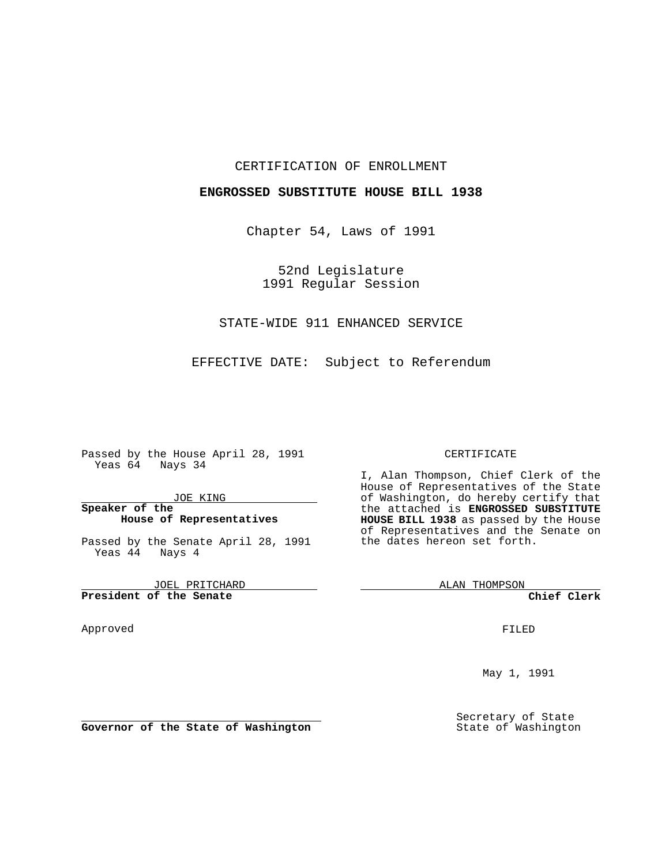### CERTIFICATION OF ENROLLMENT

### **ENGROSSED SUBSTITUTE HOUSE BILL 1938**

Chapter 54, Laws of 1991

52nd Legislature 1991 Regular Session

## STATE-WIDE 911 ENHANCED SERVICE

EFFECTIVE DATE: Subject to Referendum

Passed by the House April 28, 1991 Yeas 64 Nays 34

JOE KING

### **Speaker of the House of Representatives**

Passed by the Senate April 28, 1991 Yeas 44 Nays 4

JOEL PRITCHARD **President of the Senate**

Approved

#### CERTIFICATE

I, Alan Thompson, Chief Clerk of the House of Representatives of the State of Washington, do hereby certify that the attached is **ENGROSSED SUBSTITUTE HOUSE BILL 1938** as passed by the House of Representatives and the Senate on the dates hereon set forth.

ALAN THOMPSON

**Chief Clerk**

FILED

May 1, 1991

Secretary of State State of Washington

**Governor of the State of Washington**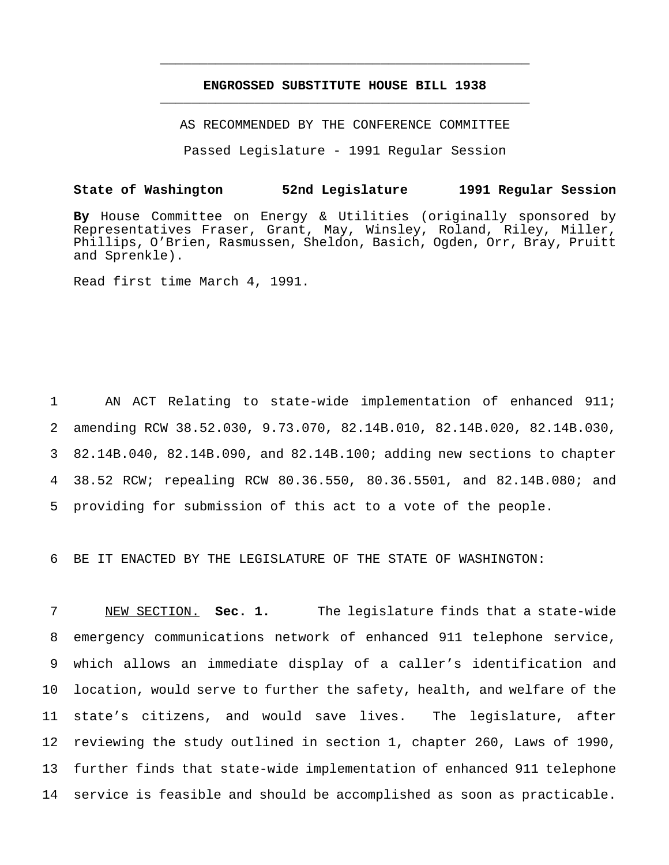# **ENGROSSED SUBSTITUTE HOUSE BILL 1938** \_\_\_\_\_\_\_\_\_\_\_\_\_\_\_\_\_\_\_\_\_\_\_\_\_\_\_\_\_\_\_\_\_\_\_\_\_\_\_\_\_\_\_\_\_\_\_

\_\_\_\_\_\_\_\_\_\_\_\_\_\_\_\_\_\_\_\_\_\_\_\_\_\_\_\_\_\_\_\_\_\_\_\_\_\_\_\_\_\_\_\_\_\_\_

AS RECOMMENDED BY THE CONFERENCE COMMITTEE

Passed Legislature - 1991 Regular Session

#### **State of Washington 52nd Legislature 1991 Regular Session**

**By** House Committee on Energy & Utilities (originally sponsored by Representatives Fraser, Grant, May, Winsley, Roland, Riley, Miller, Phillips, O'Brien, Rasmussen, Sheldon, Basich, Ogden, Orr, Bray, Pruitt and Sprenkle).

Read first time March 4, 1991.

 AN ACT Relating to state-wide implementation of enhanced 911; amending RCW 38.52.030, 9.73.070, 82.14B.010, 82.14B.020, 82.14B.030, 82.14B.040, 82.14B.090, and 82.14B.100; adding new sections to chapter 38.52 RCW; repealing RCW 80.36.550, 80.36.5501, and 82.14B.080; and providing for submission of this act to a vote of the people.

6 BE IT ENACTED BY THE LEGISLATURE OF THE STATE OF WASHINGTON:

 NEW SECTION. **Sec. 1.** The legislature finds that a state-wide emergency communications network of enhanced 911 telephone service, which allows an immediate display of a caller's identification and location, would serve to further the safety, health, and welfare of the state's citizens, and would save lives. The legislature, after reviewing the study outlined in section 1, chapter 260, Laws of 1990, further finds that state-wide implementation of enhanced 911 telephone service is feasible and should be accomplished as soon as practicable.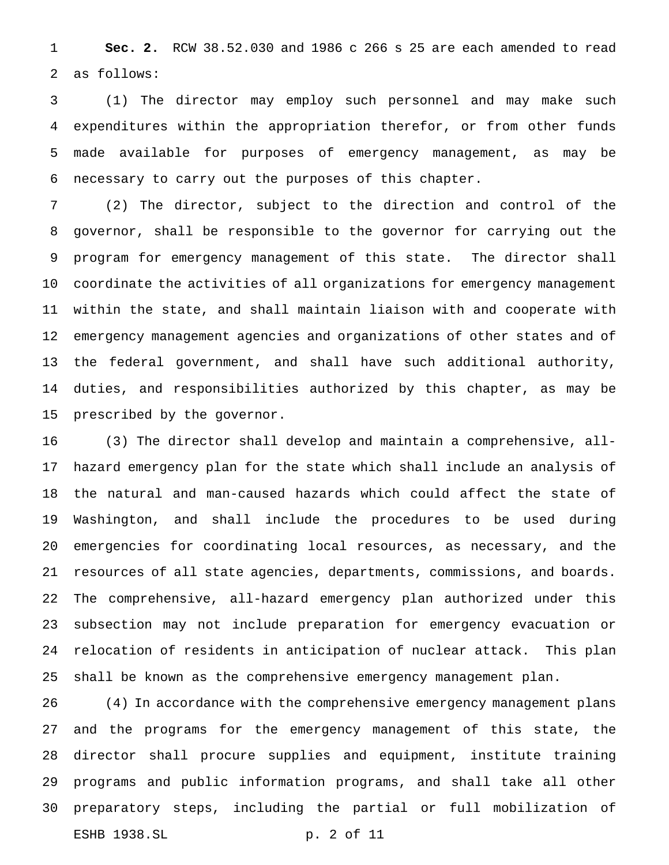**Sec. 2.** RCW 38.52.030 and 1986 c 266 s 25 are each amended to read as follows:

 (1) The director may employ such personnel and may make such expenditures within the appropriation therefor, or from other funds made available for purposes of emergency management, as may be necessary to carry out the purposes of this chapter.

 (2) The director, subject to the direction and control of the governor, shall be responsible to the governor for carrying out the program for emergency management of this state. The director shall coordinate the activities of all organizations for emergency management within the state, and shall maintain liaison with and cooperate with emergency management agencies and organizations of other states and of the federal government, and shall have such additional authority, duties, and responsibilities authorized by this chapter, as may be prescribed by the governor.

 (3) The director shall develop and maintain a comprehensive, all- hazard emergency plan for the state which shall include an analysis of the natural and man-caused hazards which could affect the state of Washington, and shall include the procedures to be used during emergencies for coordinating local resources, as necessary, and the resources of all state agencies, departments, commissions, and boards. The comprehensive, all-hazard emergency plan authorized under this subsection may not include preparation for emergency evacuation or relocation of residents in anticipation of nuclear attack. This plan shall be known as the comprehensive emergency management plan.

 (4) In accordance with the comprehensive emergency management plans and the programs for the emergency management of this state, the director shall procure supplies and equipment, institute training programs and public information programs, and shall take all other preparatory steps, including the partial or full mobilization of ESHB 1938.SL p. 2 of 11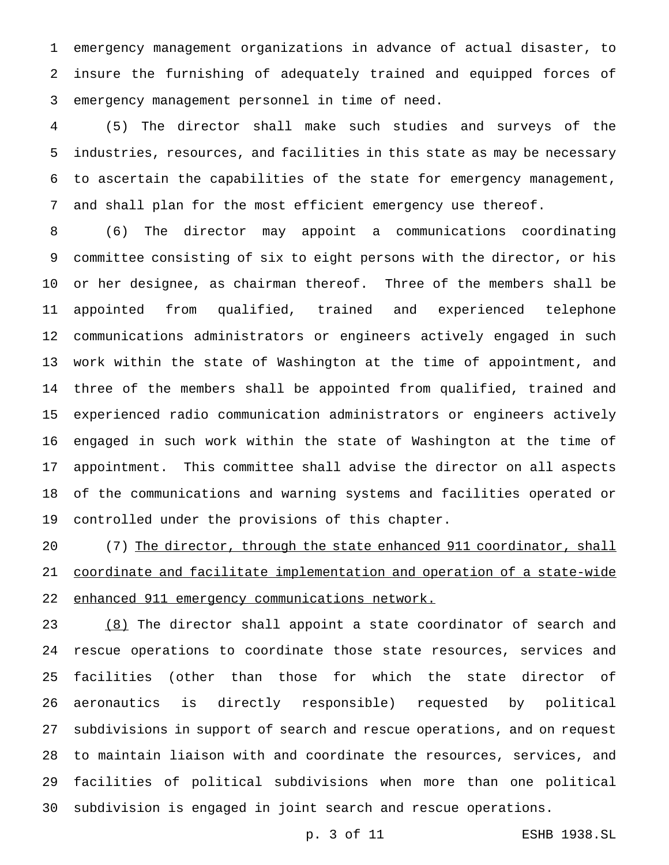emergency management organizations in advance of actual disaster, to insure the furnishing of adequately trained and equipped forces of emergency management personnel in time of need.

 (5) The director shall make such studies and surveys of the industries, resources, and facilities in this state as may be necessary to ascertain the capabilities of the state for emergency management, and shall plan for the most efficient emergency use thereof.

 (6) The director may appoint a communications coordinating committee consisting of six to eight persons with the director, or his or her designee, as chairman thereof. Three of the members shall be appointed from qualified, trained and experienced telephone communications administrators or engineers actively engaged in such work within the state of Washington at the time of appointment, and three of the members shall be appointed from qualified, trained and experienced radio communication administrators or engineers actively engaged in such work within the state of Washington at the time of appointment. This committee shall advise the director on all aspects of the communications and warning systems and facilities operated or controlled under the provisions of this chapter.

20 (7) The director, through the state enhanced 911 coordinator, shall coordinate and facilitate implementation and operation of a state-wide enhanced 911 emergency communications network.

23 (8) The director shall appoint a state coordinator of search and rescue operations to coordinate those state resources, services and facilities (other than those for which the state director of aeronautics is directly responsible) requested by political subdivisions in support of search and rescue operations, and on request to maintain liaison with and coordinate the resources, services, and facilities of political subdivisions when more than one political subdivision is engaged in joint search and rescue operations.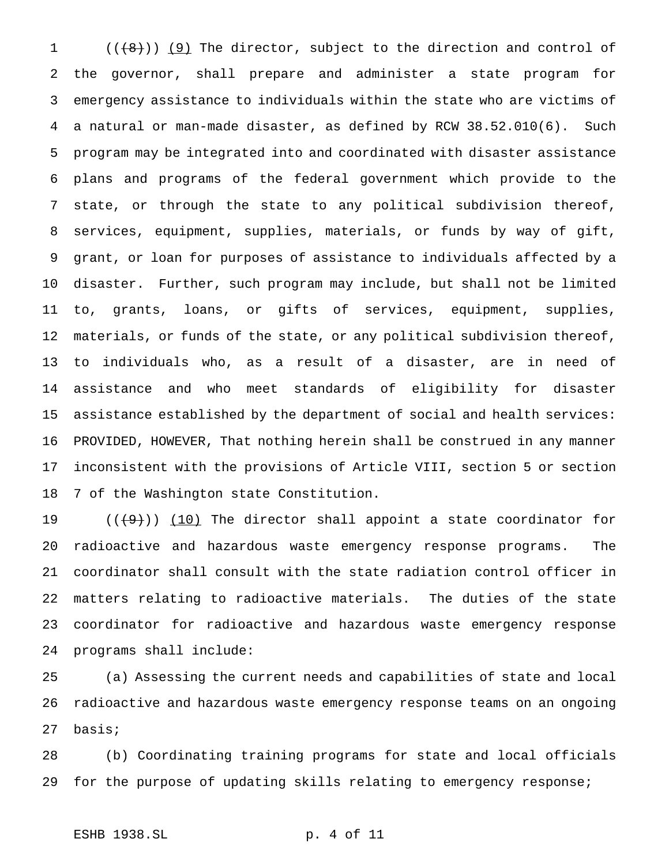$((+8))$  (9) The director, subject to the direction and control of the governor, shall prepare and administer a state program for emergency assistance to individuals within the state who are victims of a natural or man-made disaster, as defined by RCW 38.52.010(6). Such program may be integrated into and coordinated with disaster assistance plans and programs of the federal government which provide to the state, or through the state to any political subdivision thereof, services, equipment, supplies, materials, or funds by way of gift, grant, or loan for purposes of assistance to individuals affected by a disaster. Further, such program may include, but shall not be limited to, grants, loans, or gifts of services, equipment, supplies, materials, or funds of the state, or any political subdivision thereof, to individuals who, as a result of a disaster, are in need of assistance and who meet standards of eligibility for disaster assistance established by the department of social and health services: PROVIDED, HOWEVER, That nothing herein shall be construed in any manner inconsistent with the provisions of Article VIII, section 5 or section 7 of the Washington state Constitution.

 $((+9))$  (10) The director shall appoint a state coordinator for radioactive and hazardous waste emergency response programs. The coordinator shall consult with the state radiation control officer in matters relating to radioactive materials. The duties of the state coordinator for radioactive and hazardous waste emergency response programs shall include:

 (a) Assessing the current needs and capabilities of state and local radioactive and hazardous waste emergency response teams on an ongoing basis;

 (b) Coordinating training programs for state and local officials for the purpose of updating skills relating to emergency response;

# ESHB 1938.SL p. 4 of 11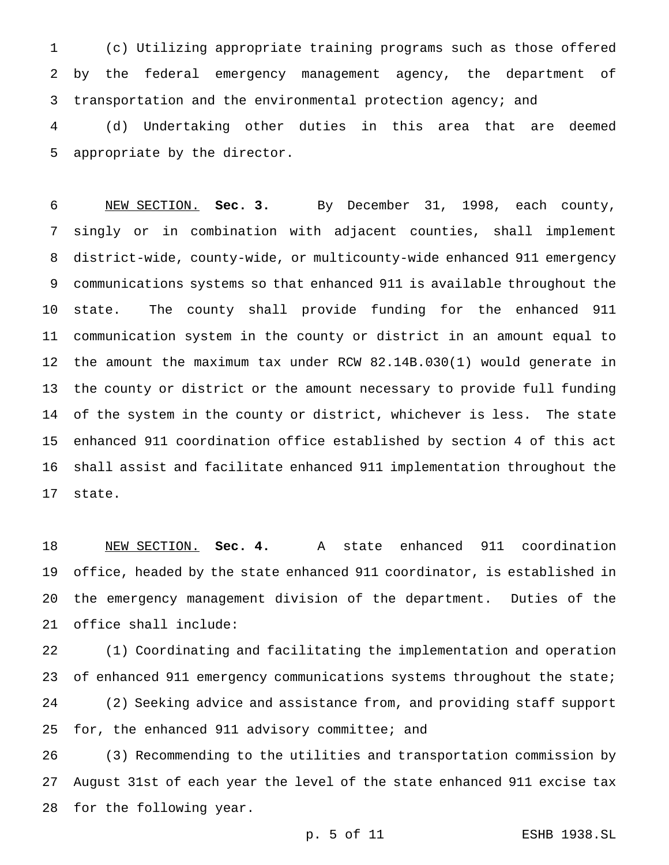(c) Utilizing appropriate training programs such as those offered by the federal emergency management agency, the department of 3 transportation and the environmental protection agency; and

 (d) Undertaking other duties in this area that are deemed appropriate by the director.

 NEW SECTION. **Sec. 3.** By December 31, 1998, each county, singly or in combination with adjacent counties, shall implement district-wide, county-wide, or multicounty-wide enhanced 911 emergency communications systems so that enhanced 911 is available throughout the state. The county shall provide funding for the enhanced 911 communication system in the county or district in an amount equal to the amount the maximum tax under RCW 82.14B.030(1) would generate in the county or district or the amount necessary to provide full funding of the system in the county or district, whichever is less. The state enhanced 911 coordination office established by section 4 of this act shall assist and facilitate enhanced 911 implementation throughout the state.

 NEW SECTION. **Sec. 4.** A state enhanced 911 coordination office, headed by the state enhanced 911 coordinator, is established in the emergency management division of the department. Duties of the office shall include:

 (1) Coordinating and facilitating the implementation and operation of enhanced 911 emergency communications systems throughout the state; (2) Seeking advice and assistance from, and providing staff support for, the enhanced 911 advisory committee; and

 (3) Recommending to the utilities and transportation commission by August 31st of each year the level of the state enhanced 911 excise tax for the following year.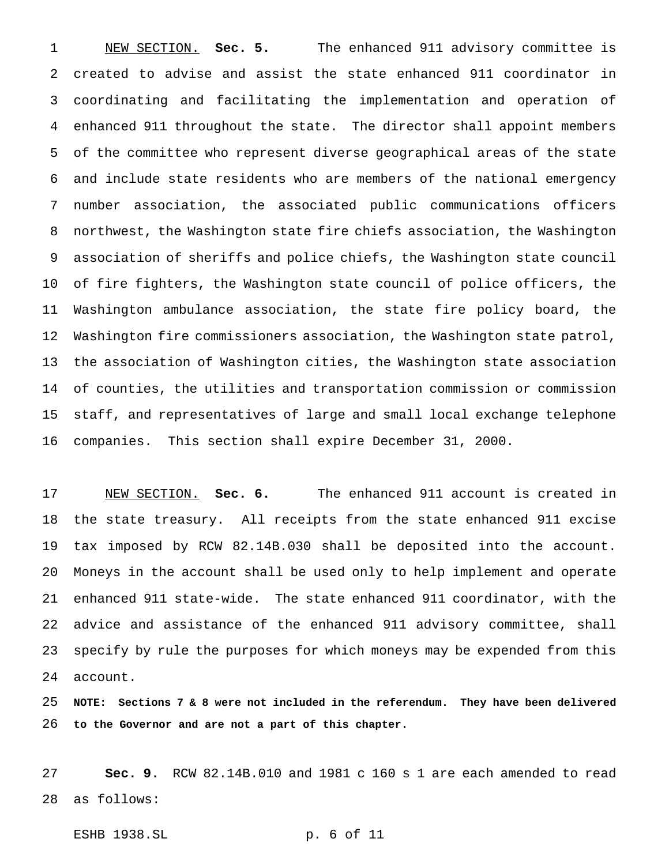NEW SECTION. **Sec. 5.** The enhanced 911 advisory committee is created to advise and assist the state enhanced 911 coordinator in coordinating and facilitating the implementation and operation of enhanced 911 throughout the state. The director shall appoint members of the committee who represent diverse geographical areas of the state and include state residents who are members of the national emergency number association, the associated public communications officers northwest, the Washington state fire chiefs association, the Washington association of sheriffs and police chiefs, the Washington state council of fire fighters, the Washington state council of police officers, the Washington ambulance association, the state fire policy board, the Washington fire commissioners association, the Washington state patrol, the association of Washington cities, the Washington state association of counties, the utilities and transportation commission or commission staff, and representatives of large and small local exchange telephone companies. This section shall expire December 31, 2000.

 NEW SECTION. **Sec. 6.** The enhanced 911 account is created in the state treasury. All receipts from the state enhanced 911 excise tax imposed by RCW 82.14B.030 shall be deposited into the account. Moneys in the account shall be used only to help implement and operate enhanced 911 state-wide. The state enhanced 911 coordinator, with the advice and assistance of the enhanced 911 advisory committee, shall specify by rule the purposes for which moneys may be expended from this account.

 **NOTE: Sections7&8 were not included in the referendum. They have been delivered to the Governor and are not a part of this chapter.**

 **Sec. 9.** RCW 82.14B.010 and 1981 c 160 s 1 are each amended to read as follows:

ESHB 1938.SL p. 6 of 11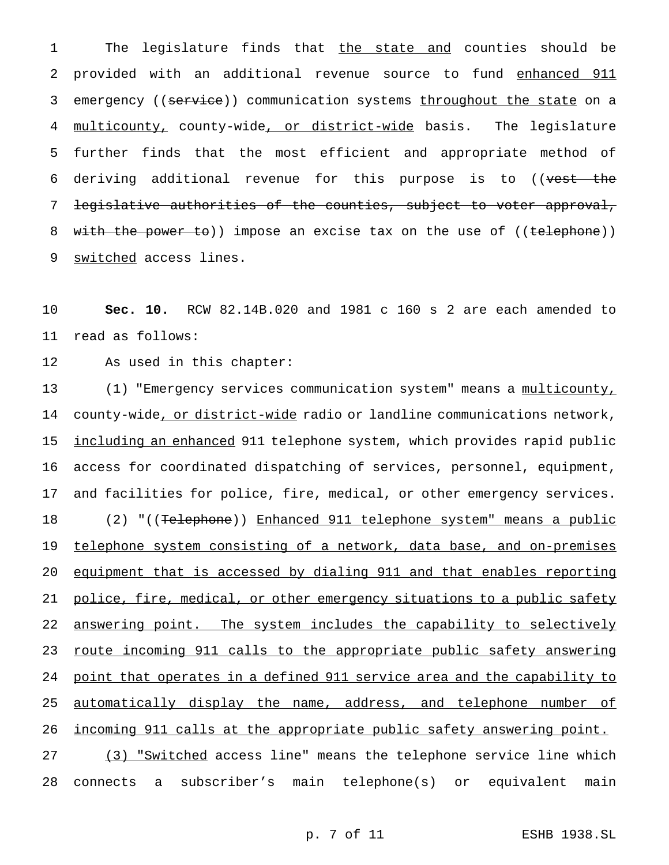1 The legislature finds that the state and counties should be 2 provided with an additional revenue source to fund enhanced 911 3 emergency ((service)) communication systems throughout the state on a 4 multicounty, county-wide, or district-wide basis. The legislature 5 further finds that the most efficient and appropriate method of 6 deriving additional revenue for this purpose is to ((vest the 7 legislative authorities of the counties, subject to voter approval, 8 with the power to)) impose an excise tax on the use of ((telephone)) 9 switched access lines.

10 **Sec. 10.** RCW 82.14B.020 and 1981 c 160 s 2 are each amended to 11 read as follows:

12 As used in this chapter:

13 (1) "Emergency services communication system" means a multicounty, 14 county-wide, or district-wide radio or landline communications network, 15 <u>including an enhanced</u> 911 telephone system, which provides rapid public 16 access for coordinated dispatching of services, personnel, equipment, 17 and facilities for police, fire, medical, or other emergency services. 18 (2) "((Telephone)) Enhanced 911 telephone system" means a public 19 telephone system consisting of a network, data base, and on-premises 20 equipment that is accessed by dialing 911 and that enables reporting 21 police, fire, medical, or other emergency situations to a public safety 22 answering point. The system includes the capability to selectively 23 route incoming 911 calls to the appropriate public safety answering 24 point that operates in a defined 911 service area and the capability to 25 automatically display the name, address, and telephone number of 26 incoming 911 calls at the appropriate public safety answering point. 27 (3) "Switched access line" means the telephone service line which 28 connects a subscriber's main telephone(s) or equivalent main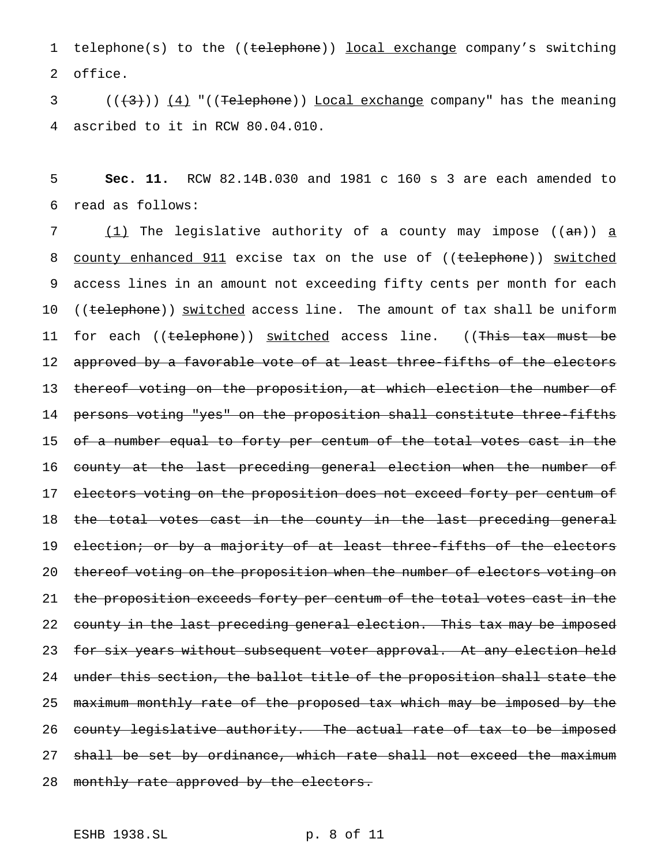1 telephone(s) to the ((telephone)) local exchange company's switching 2 office.

 $3$  ( $(\langle 3\rangle)$ )  $(4)$  "((Telephone)) Local exchange company" has the meaning 4 ascribed to it in RCW 80.04.010.

5 **Sec. 11.** RCW 82.14B.030 and 1981 c 160 s 3 are each amended to 6 read as follows:

7  $(1)$  The legislative authority of a county may impose ((an)) a 8 county enhanced 911 excise tax on the use of ((telephone)) switched 9 access lines in an amount not exceeding fifty cents per month for each 10 ((telephone)) switched access line. The amount of tax shall be uniform 11 for each ((telephone)) switched access line. ((This tax must be 12 approved by a favorable vote of at least three-fifths of the electors 13 thereof voting on the proposition, at which election the number of 14 persons voting "yes" on the proposition shall constitute three-fifths 15 of a number equal to forty per centum of the total votes cast in the 16 county at the last preceding general election when the number of 17 e<del>lectors voting on the proposition does not exceed forty per centum of</del> 18 the total votes cast in the county in the last preceding general 19 election; or by a majority of at least three-fifths of the electors 20 thereof voting on the proposition when the number of electors voting on 21 the proposition exceeds forty per centum of the total votes cast in the 22 county in the last preceding general election. This tax may be imposed 23 for six years without subsequent voter approval. At any election held 24 under this section, the ballot title of the proposition shall state the 25 maximum monthly rate of the proposed tax which may be imposed by the 26 county legislative authority. The actual rate of tax to be imposed 27 shall be set by ordinance, which rate shall not exceed the maximum 28 monthly rate approved by the electors.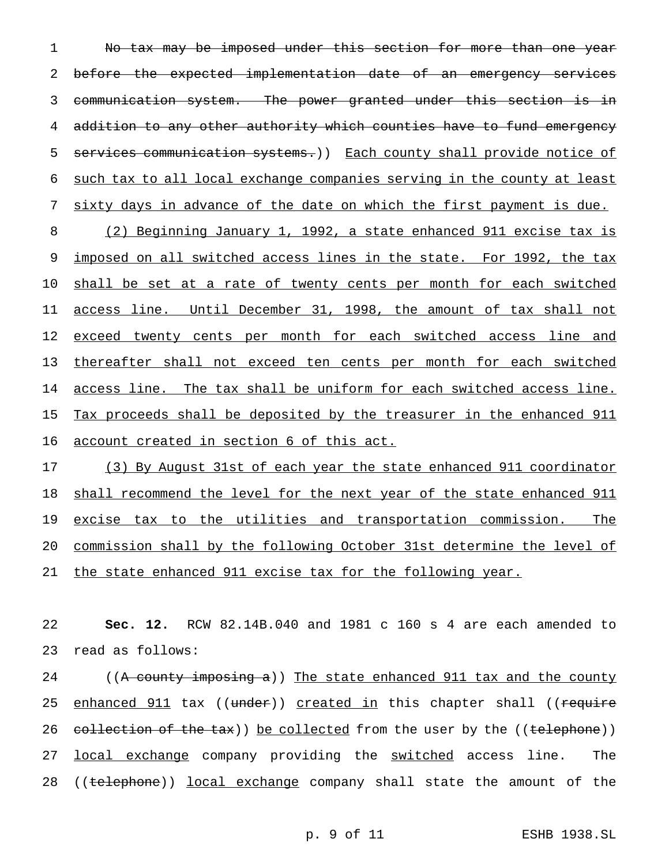No tax may be imposed under this section for more than one year 2 before the expected implementation date of an emergency services communication system. The power granted under this section is in addition to any other authority which counties have to fund emergency 5 services communication systems.)) Each county shall provide notice of such tax to all local exchange companies serving in the county at least

sixty days in advance of the date on which the first payment is due.

 (2) Beginning January 1, 1992, a state enhanced 911 excise tax is 9 imposed on all switched access lines in the state. For 1992, the tax shall be set at a rate of twenty cents per month for each switched access line. Until December 31, 1998, the amount of tax shall not 12 exceed twenty cents per month for each switched access line and thereafter shall not exceed ten cents per month for each switched access line. The tax shall be uniform for each switched access line. Tax proceeds shall be deposited by the treasurer in the enhanced 911 account created in section 6 of this act.

 (3) By August 31st of each year the state enhanced 911 coordinator shall recommend the level for the next year of the state enhanced 911 19 excise tax to the utilities and transportation commission. The commission shall by the following October 31st determine the level of the state enhanced 911 excise tax for the following year.

 **Sec. 12.** RCW 82.14B.040 and 1981 c 160 s 4 are each amended to read as follows:

24 ((A county imposing a)) The state enhanced 911 tax and the county 25 enhanced 911 tax ((under)) created in this chapter shall ((require 26 collection of the tax)) be collected from the user by the ((telephone)) 27 local exchange company providing the switched access line. The 28 ((telephone)) local exchange company shall state the amount of the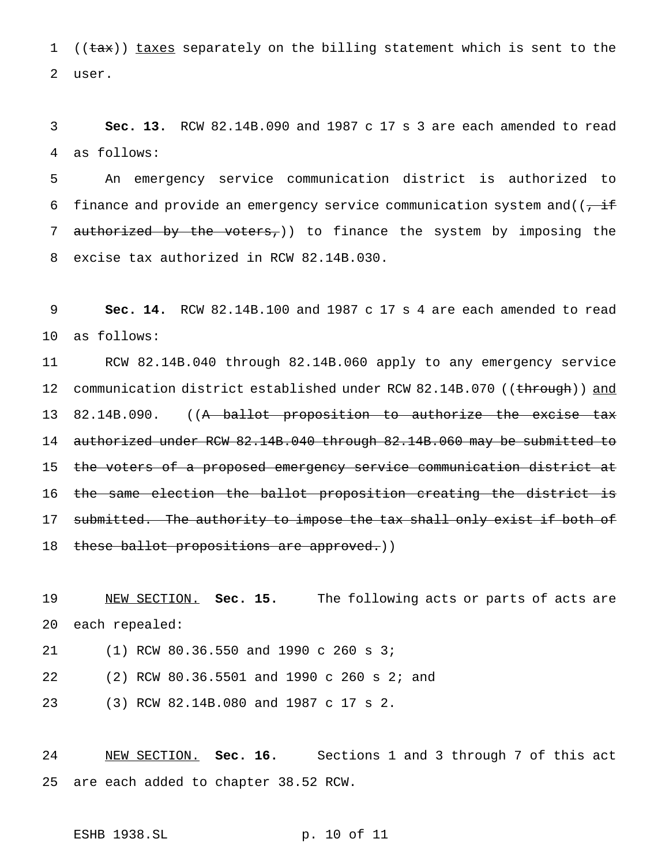1 ( $(\text{tax})$ ) taxes separately on the billing statement which is sent to the user.

 **Sec. 13.** RCW 82.14B.090 and 1987 c 17 s 3 are each amended to read as follows:

 An emergency service communication district is authorized to 6 finance and provide an emergency service communication system and  $((\overline{f},\overline{f})^{\text{th}})$ 7 authorized by the voters,)) to finance the system by imposing the excise tax authorized in RCW 82.14B.030.

 **Sec. 14.** RCW 82.14B.100 and 1987 c 17 s 4 are each amended to read as follows:

 RCW 82.14B.040 through 82.14B.060 apply to any emergency service 12 communication district established under RCW 82.14B.070 ((through)) and 13 82.14B.090. ((A ballot proposition to authorize the excise tax authorized under RCW 82.14B.040 through 82.14B.060 may be submitted to the voters of a proposed emergency service communication district at 16 the same election the ballot proposition creating the district is 17 submitted. The authority to impose the tax shall only exist if both of 18 these ballot propositions are approved.))

 NEW SECTION. **Sec. 15.** The following acts or parts of acts are each repealed:

(1) RCW 80.36.550 and 1990 c 260 s 3;

(2) RCW 80.36.5501 and 1990 c 260 s 2; and

(3) RCW 82.14B.080 and 1987 c 17 s 2.

 NEW SECTION. **Sec. 16.** Sections 1 and 3 through 7 of this act are each added to chapter 38.52 RCW.

ESHB 1938.SL p. 10 of 11